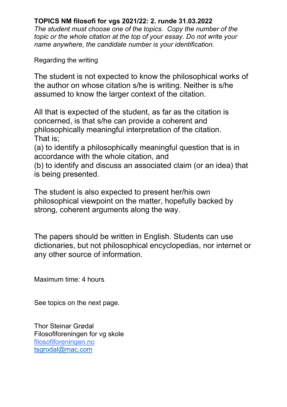## **TOPICS NM filosofi for vgs 2021/22: 2. runde 31.03.2022**

*The student must choose one of the topics. Copy the number of the topic or the whole citation at the top of your essay. Do not write your name anywhere, the candidate number is your identification.*

Regarding the writing

The student is not expected to know the philosophical works of the author on whose citation s/he is writing. Neither is s/he assumed to know the larger context of the citation.

All that is expected of the student, as far as the citation is concerned, is that s/he can provide a coherent and philosophically meaningful interpretation of the citation. That is;

(a) to identify a philosophically meaningful question that is in accordance with the whole citation, and

(b) to identify and discuss an associated claim (or an idea) that is being presented.

The student is also expected to present her/his own philosophical viewpoint on the matter, hopefully backed by strong, coherent arguments along the way.

The papers should be written in English. Students can use dictionaries, but not philosophical encyclopedias, nor internet or any other source of information.

Maximum time: 4 hours

See topics on the next page.

Thor Steinar Grødal Filosofiforeningen for vg skole [filosofiforeningen.no](http://filosofiforeningen.no/) [tsgrodal@mac.com](mailto:tsgrodal@mac.com)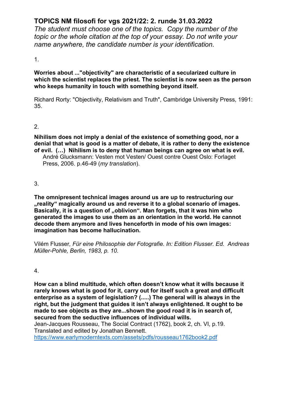## **TOPICS NM filosofi for vgs 2021/22: 2. runde 31.03.2022**

*The student must choose one of the topics. Copy the number of the topic or the whole citation at the top of your essay. Do not write your name anywhere, the candidate number is your identification.*

1.

**Worries about ..."objectivity" are characteristic of a secularized culture in which the scientist replaces the priest. The scientist is now seen as the person who keeps humanity in touch with something beyond itself.**

Richard Rorty: "Objectivity, Relativism and Truth", Cambridge University Press, 1991: 35.

## 2.

**Nihilism does not imply a denial of the existence of something good, nor a denial that what is good is a matter of debate, it is rather to deny the existence of evil. (…) Nihilism is to deny that human beings can agree on what is evil.** André Glucksmann: Vesten mot Vesten/ Ouest contre Ouest Oslo: Forlaget

Press, 2006. p.46-49 (*my translation*).

3.

**The omnipresent technical images around us are up to restructuring our "reality" magically around us and reverse it to a global scenario of images.**  Basically, it is a question of "oblivion". Man forgets, that it was him who **generated the images to use them as an orientation in the world. He cannot decode them anymore and lives henceforth in mode of his own images: imagination has become hallucination.** 

Vilém Flusser*, Für eine Philosophie der Fotografie. In: Edition Flusser. Ed. Andreas Müller-Pohle, Berlin, 1983, p. 10.*

4.

**How can a blind multitude, which often doesn't know what it wills because it rarely knows what is good for it, carry out for itself such a great and difficult enterprise as a system of legislation? (.....) The general will is always in the right, but the judgment that guides it isn't always enlightened. It ought to be made to see objects as they are...shown the good road it is in search of, secured from the seductive influences of individual wills.**

Jean-Jacques Rousseau, The Social Contract (1762), book 2, ch. VI, p.19. Translated and edited by Jonathan Bennett.

<https://www.earlymoderntexts.com/assets/pdfs/rousseau1762book2.pdf>